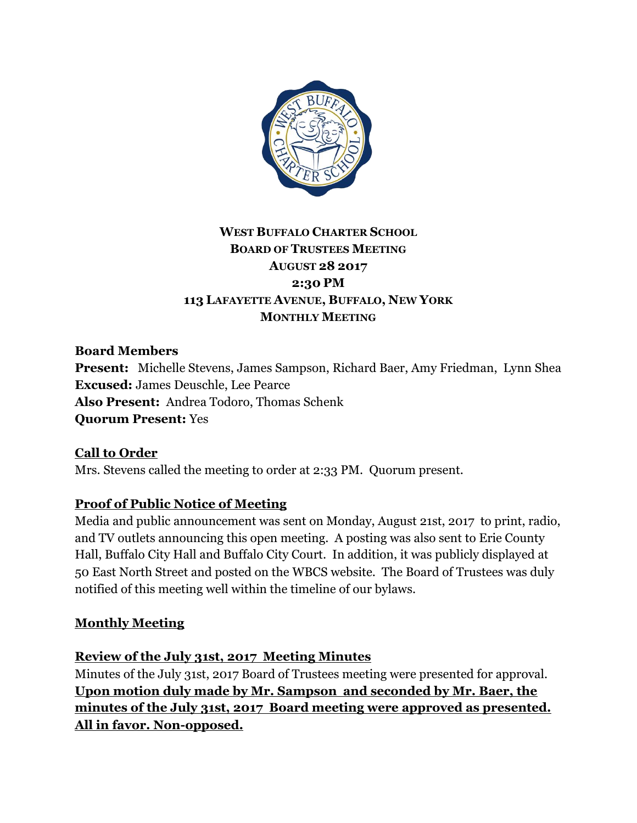

## **WEST BUFFALO CHARTER SCHOOL BOARD OF TRUSTEES MEETING AUGUST 28 2017 2:30 PM 113 LAFAYETTE AVENUE, BUFFALO, NEW YORK MONTHLY MEETING**

#### **Board Members**

**Present:** Michelle Stevens, James Sampson, Richard Baer, Amy Friedman, Lynn Shea **Excused:** James Deuschle, Lee Pearce **Also Present:** Andrea Todoro, Thomas Schenk **Quorum Present:** Yes

**Call to Order** Mrs. Stevens called the meeting to order at 2:33 PM. Quorum present.

### **Proof of Public Notice of Meeting**

Media and public announcement was sent on Monday, August 21st, 2017 to print, radio, and TV outlets announcing this open meeting. A posting was also sent to Erie County Hall, Buffalo City Hall and Buffalo City Court. In addition, it was publicly displayed at 50 East North Street and posted on the WBCS website. The Board of Trustees was duly notified of this meeting well within the timeline of our bylaws.

### **Monthly Meeting**

## **Review of the July 31st, 2017 Meeting Minutes**

Minutes of the July 31st, 2017 Board of Trustees meeting were presented for approval. **Upon motion duly made by Mr. Sampson and seconded by Mr. Baer, the minutes of the July 31st, 2017 Board meeting were approved as presented. All in favor. Non-opposed.**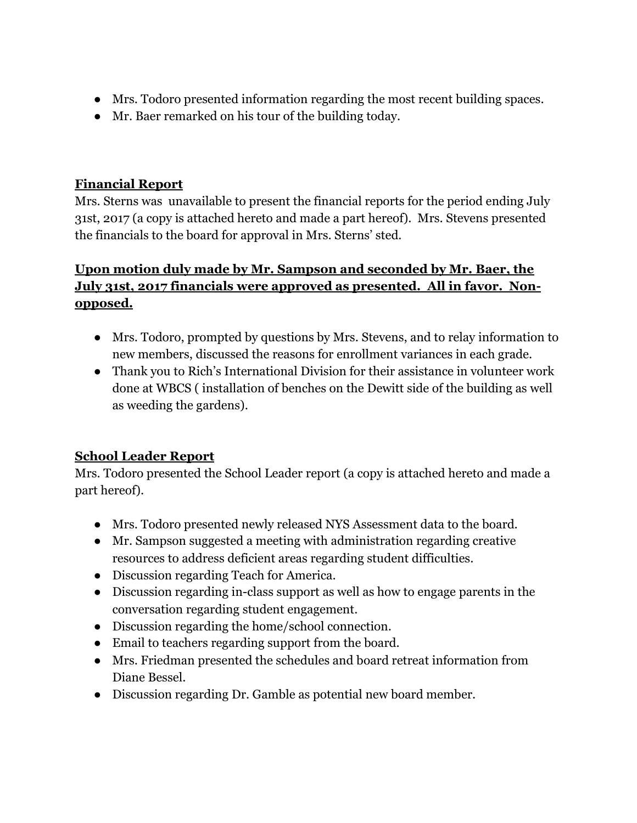- Mrs. Todoro presented information regarding the most recent building spaces.
- Mr. Baer remarked on his tour of the building today.

### **Financial Report**

Mrs. Sterns was unavailable to present the financial reports for the period ending July 31st, 2017 (a copy is attached hereto and made a part hereof). Mrs. Stevens presented the financials to the board for approval in Mrs. Sterns' sted.

# **Upon motion duly made by Mr. Sampson and seconded by Mr. Baer, the July 31st, 2017 financials were approved as presented. All in favor. Nonopposed.**

- Mrs. Todoro, prompted by questions by Mrs. Stevens, and to relay information to new members, discussed the reasons for enrollment variances in each grade.
- Thank you to Rich's International Division for their assistance in volunteer work done at WBCS ( installation of benches on the Dewitt side of the building as well as weeding the gardens).

# **School Leader Report**

Mrs. Todoro presented the School Leader report (a copy is attached hereto and made a part hereof).

- Mrs. Todoro presented newly released NYS Assessment data to the board.
- Mr. Sampson suggested a meeting with administration regarding creative resources to address deficient areas regarding student difficulties.
- Discussion regarding Teach for America.
- Discussion regarding in-class support as well as how to engage parents in the conversation regarding student engagement.
- Discussion regarding the home/school connection.
- Email to teachers regarding support from the board.
- Mrs. Friedman presented the schedules and board retreat information from Diane Bessel.
- Discussion regarding Dr. Gamble as potential new board member.